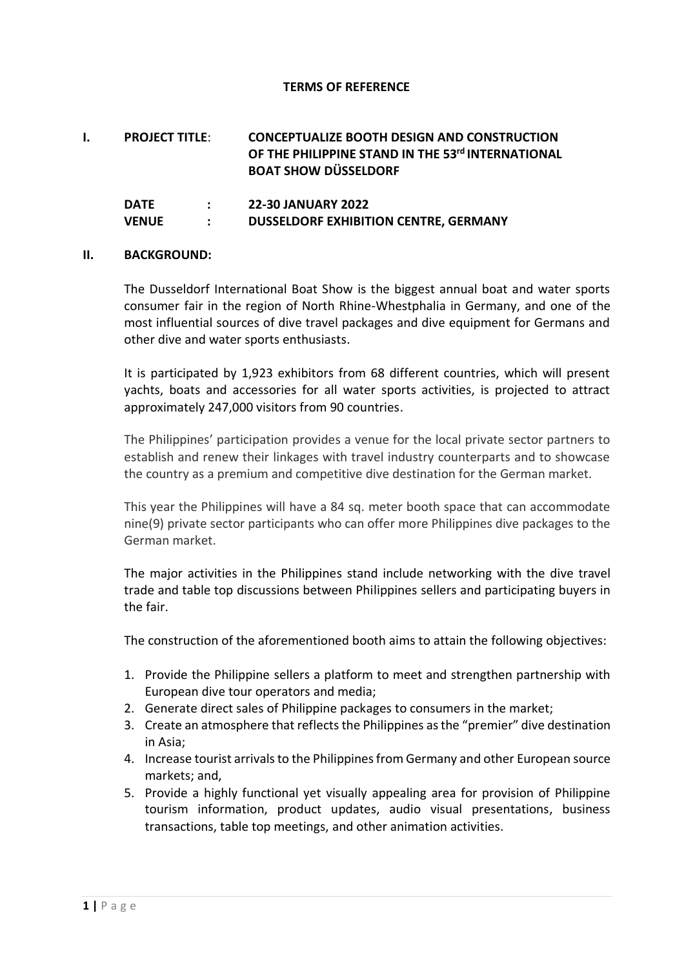#### **TERMS OF REFERENCE**

| Ι. | <b>PROJECT TITLE:</b> | <b>CONCEPTUALIZE BOOTH DESIGN AND CONSTRUCTION</b> |
|----|-----------------------|----------------------------------------------------|
|    |                       | OF THE PHILIPPINE STAND IN THE 53rd INTERNATIONAL  |
|    |                       | <b>BOAT SHOW DÜSSELDORF</b>                        |

| DATE  | <b>22-30 JANUARY 2022</b>                    |
|-------|----------------------------------------------|
| VENUE | <b>DUSSELDORF EXHIBITION CENTRE, GERMANY</b> |

#### **II. BACKGROUND:**

The Dusseldorf International Boat Show is the biggest annual boat and water sports consumer fair in the region of North Rhine-Whestphalia in Germany, and one of the most influential sources of dive travel packages and dive equipment for Germans and other dive and water sports enthusiasts.

It is participated by 1,923 exhibitors from 68 different countries, which will present yachts, boats and accessories for all water sports activities, is projected to attract approximately 247,000 visitors from 90 countries.

The Philippines' participation provides a venue for the local private sector partners to establish and renew their linkages with travel industry counterparts and to showcase the country as a premium and competitive dive destination for the German market.

This year the Philippines will have a 84 sq. meter booth space that can accommodate nine(9) private sector participants who can offer more Philippines dive packages to the German market.

The major activities in the Philippines stand include networking with the dive travel trade and table top discussions between Philippines sellers and participating buyers in the fair.

The construction of the aforementioned booth aims to attain the following objectives:

- 1. Provide the Philippine sellers a platform to meet and strengthen partnership with European dive tour operators and media;
- 2. Generate direct sales of Philippine packages to consumers in the market;
- 3. Create an atmosphere that reflects the Philippines as the "premier" dive destination in Asia;
- 4. Increase tourist arrivals to the Philippines from Germany and other European source markets; and,
- 5. Provide a highly functional yet visually appealing area for provision of Philippine tourism information, product updates, audio visual presentations, business transactions, table top meetings, and other animation activities.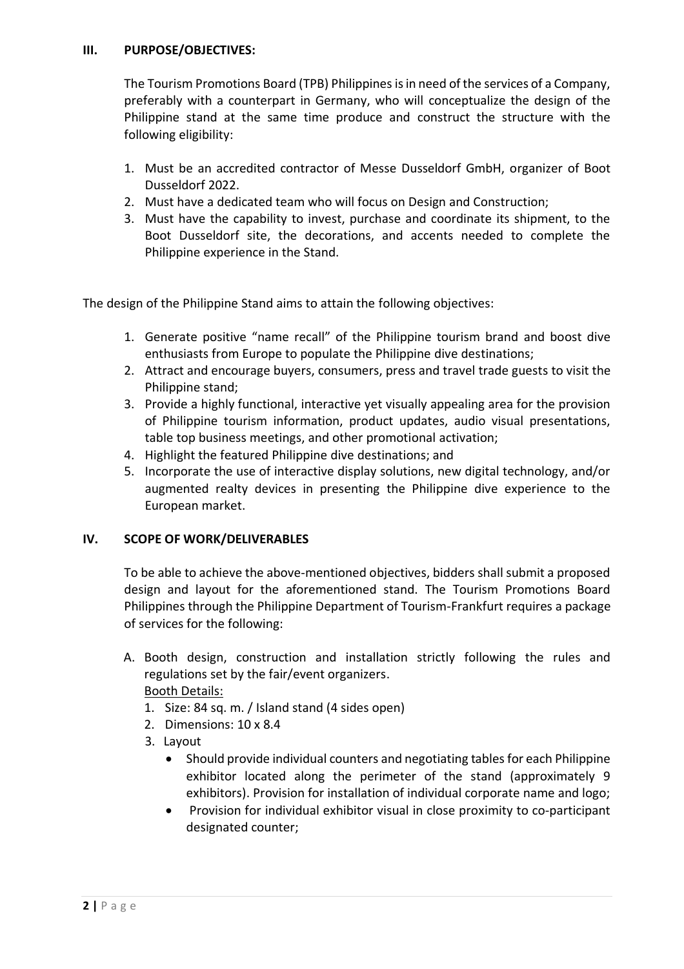### **III. PURPOSE/OBJECTIVES:**

The Tourism Promotions Board (TPB) Philippines is in need of the services of a Company, preferably with a counterpart in Germany, who will conceptualize the design of the Philippine stand at the same time produce and construct the structure with the following eligibility:

- 1. Must be an accredited contractor of Messe Dusseldorf GmbH, organizer of Boot Dusseldorf 2022.
- 2. Must have a dedicated team who will focus on Design and Construction;
- 3. Must have the capability to invest, purchase and coordinate its shipment, to the Boot Dusseldorf site, the decorations, and accents needed to complete the Philippine experience in the Stand.

The design of the Philippine Stand aims to attain the following objectives:

- 1. Generate positive "name recall" of the Philippine tourism brand and boost dive enthusiasts from Europe to populate the Philippine dive destinations;
- 2. Attract and encourage buyers, consumers, press and travel trade guests to visit the Philippine stand;
- 3. Provide a highly functional, interactive yet visually appealing area for the provision of Philippine tourism information, product updates, audio visual presentations, table top business meetings, and other promotional activation;
- 4. Highlight the featured Philippine dive destinations; and
- 5. Incorporate the use of interactive display solutions, new digital technology, and/or augmented realty devices in presenting the Philippine dive experience to the European market.

#### **IV. SCOPE OF WORK/DELIVERABLES**

To be able to achieve the above-mentioned objectives, bidders shall submit a proposed design and layout for the aforementioned stand. The Tourism Promotions Board Philippines through the Philippine Department of Tourism-Frankfurt requires a package of services for the following:

- A. Booth design, construction and installation strictly following the rules and regulations set by the fair/event organizers. Booth Details:
	- 1. Size: 84 sq. m. / Island stand (4 sides open)
	- 2. Dimensions: 10 x 8.4
	- 3. Layout
		- Should provide individual counters and negotiating tables for each Philippine exhibitor located along the perimeter of the stand (approximately 9 exhibitors). Provision for installation of individual corporate name and logo;
		- Provision for individual exhibitor visual in close proximity to co-participant designated counter;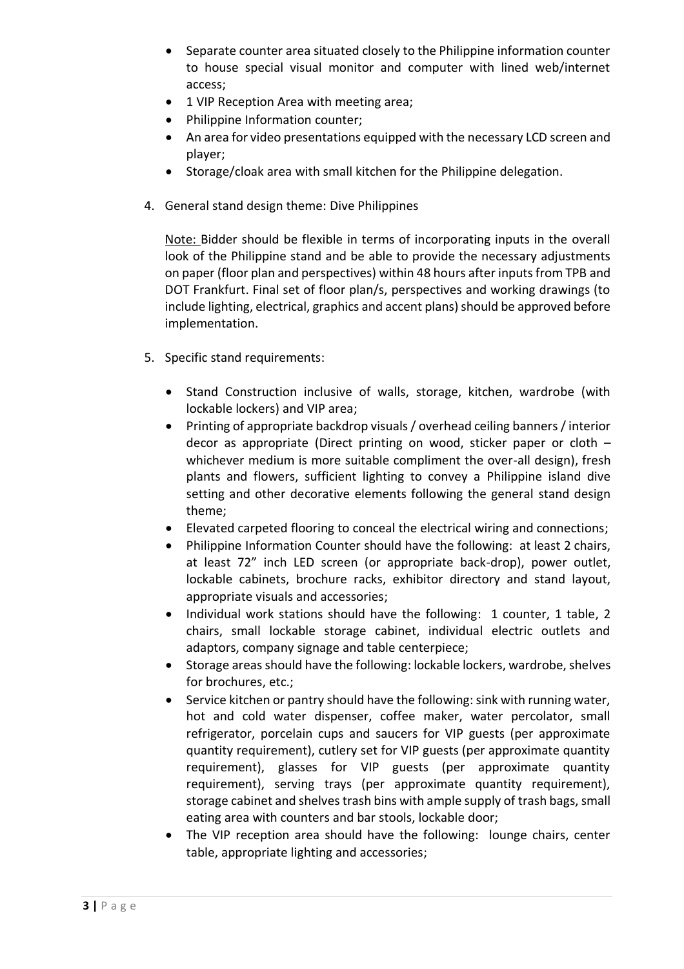- Separate counter area situated closely to the Philippine information counter to house special visual monitor and computer with lined web/internet access;
- 1 VIP Reception Area with meeting area;
- Philippine Information counter;
- An area for video presentations equipped with the necessary LCD screen and player;
- Storage/cloak area with small kitchen for the Philippine delegation.
- 4. General stand design theme: Dive Philippines

Note: Bidder should be flexible in terms of incorporating inputs in the overall look of the Philippine stand and be able to provide the necessary adjustments on paper (floor plan and perspectives) within 48 hours after inputs from TPB and DOT Frankfurt. Final set of floor plan/s, perspectives and working drawings (to include lighting, electrical, graphics and accent plans) should be approved before implementation.

- 5. Specific stand requirements:
	- Stand Construction inclusive of walls, storage, kitchen, wardrobe (with lockable lockers) and VIP area;
	- Printing of appropriate backdrop visuals / overhead ceiling banners / interior decor as appropriate (Direct printing on wood, sticker paper or cloth – whichever medium is more suitable compliment the over-all design), fresh plants and flowers, sufficient lighting to convey a Philippine island dive setting and other decorative elements following the general stand design theme;
	- Elevated carpeted flooring to conceal the electrical wiring and connections;
	- Philippine Information Counter should have the following: at least 2 chairs, at least 72" inch LED screen (or appropriate back-drop), power outlet, lockable cabinets, brochure racks, exhibitor directory and stand layout, appropriate visuals and accessories;
	- Individual work stations should have the following: 1 counter, 1 table, 2 chairs, small lockable storage cabinet, individual electric outlets and adaptors, company signage and table centerpiece;
	- Storage areas should have the following: lockable lockers, wardrobe, shelves for brochures, etc.;
	- Service kitchen or pantry should have the following: sink with running water, hot and cold water dispenser, coffee maker, water percolator, small refrigerator, porcelain cups and saucers for VIP guests (per approximate quantity requirement), cutlery set for VIP guests (per approximate quantity requirement), glasses for VIP guests (per approximate quantity requirement), serving trays (per approximate quantity requirement), storage cabinet and shelves trash bins with ample supply of trash bags, small eating area with counters and bar stools, lockable door;
	- The VIP reception area should have the following: lounge chairs, center table, appropriate lighting and accessories;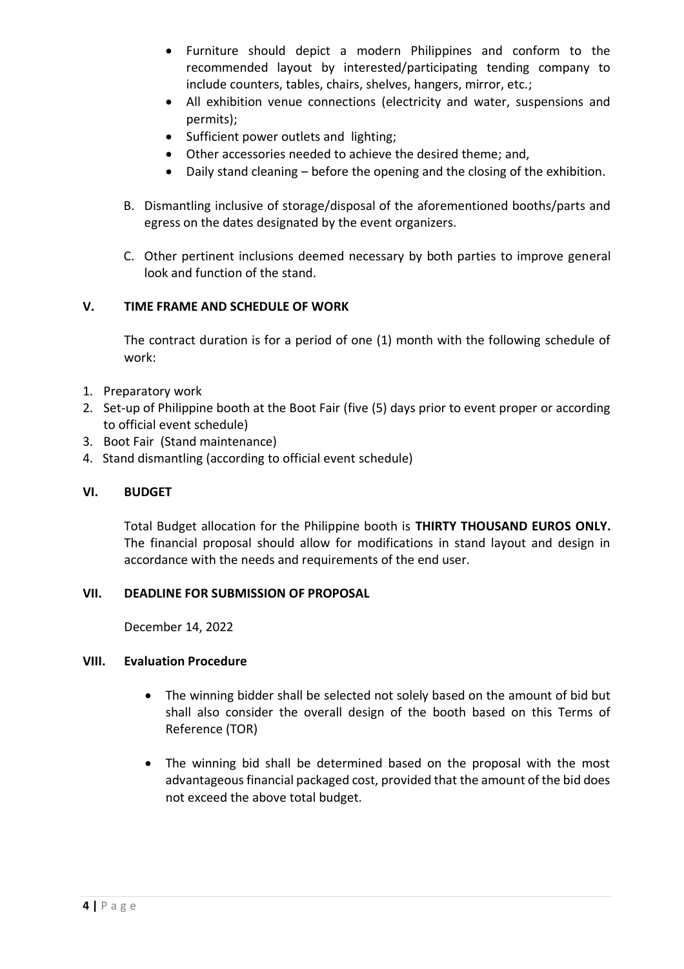- Furniture should depict a modern Philippines and conform to the recommended layout by interested/participating tending company to include counters, tables, chairs, shelves, hangers, mirror, etc.;
- All exhibition venue connections (electricity and water, suspensions and permits);
- Sufficient power outlets and lighting;
- Other accessories needed to achieve the desired theme; and,
- Daily stand cleaning before the opening and the closing of the exhibition.
- B. Dismantling inclusive of storage/disposal of the aforementioned booths/parts and egress on the dates designated by the event organizers.
- C. Other pertinent inclusions deemed necessary by both parties to improve general look and function of the stand.

### **V. TIME FRAME AND SCHEDULE OF WORK**

The contract duration is for a period of one (1) month with the following schedule of work:

- 1. Preparatory work
- 2. Set-up of Philippine booth at the Boot Fair (five (5) days prior to event proper or according to official event schedule)
- 3. Boot Fair (Stand maintenance)
- 4. Stand dismantling (according to official event schedule)

#### **VI. BUDGET**

Total Budget allocation for the Philippine booth is **THIRTY THOUSAND EUROS ONLY.** The financial proposal should allow for modifications in stand layout and design in accordance with the needs and requirements of the end user.

#### **VII. DEADLINE FOR SUBMISSION OF PROPOSAL**

December 14, 2022

### **VIII. Evaluation Procedure**

- The winning bidder shall be selected not solely based on the amount of bid but shall also consider the overall design of the booth based on this Terms of Reference (TOR)
- The winning bid shall be determined based on the proposal with the most advantageous financial packaged cost, provided that the amount of the bid does not exceed the above total budget.